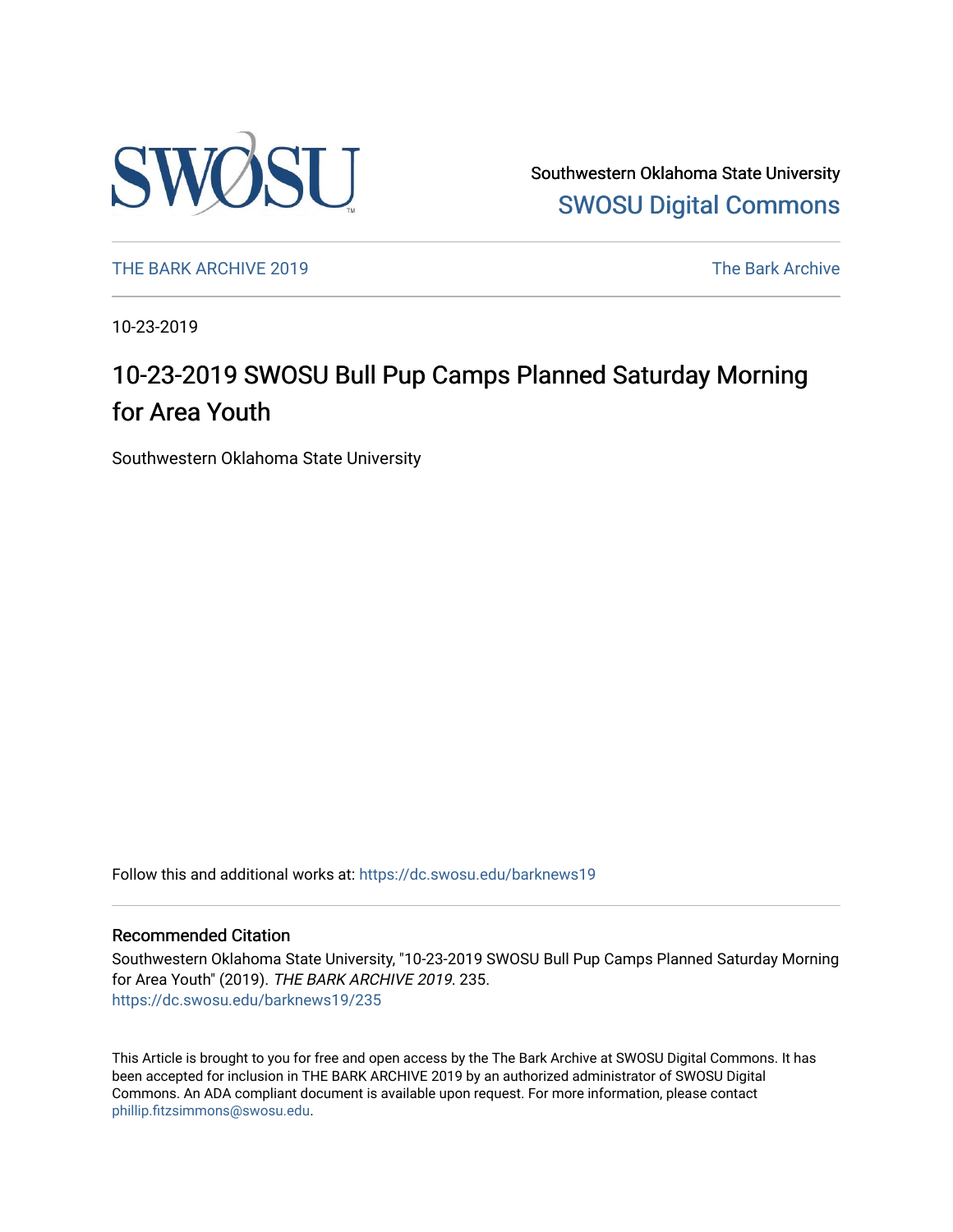

Southwestern Oklahoma State University [SWOSU Digital Commons](https://dc.swosu.edu/) 

[THE BARK ARCHIVE 2019](https://dc.swosu.edu/barknews19) The Bark Archive

10-23-2019

### 10-23-2019 SWOSU Bull Pup Camps Planned Saturday Morning for Area Youth

Southwestern Oklahoma State University

Follow this and additional works at: [https://dc.swosu.edu/barknews19](https://dc.swosu.edu/barknews19?utm_source=dc.swosu.edu%2Fbarknews19%2F235&utm_medium=PDF&utm_campaign=PDFCoverPages)

#### Recommended Citation

Southwestern Oklahoma State University, "10-23-2019 SWOSU Bull Pup Camps Planned Saturday Morning for Area Youth" (2019). THE BARK ARCHIVE 2019. 235. [https://dc.swosu.edu/barknews19/235](https://dc.swosu.edu/barknews19/235?utm_source=dc.swosu.edu%2Fbarknews19%2F235&utm_medium=PDF&utm_campaign=PDFCoverPages)

This Article is brought to you for free and open access by the The Bark Archive at SWOSU Digital Commons. It has been accepted for inclusion in THE BARK ARCHIVE 2019 by an authorized administrator of SWOSU Digital Commons. An ADA compliant document is available upon request. For more information, please contact [phillip.fitzsimmons@swosu.edu](mailto:phillip.fitzsimmons@swosu.edu).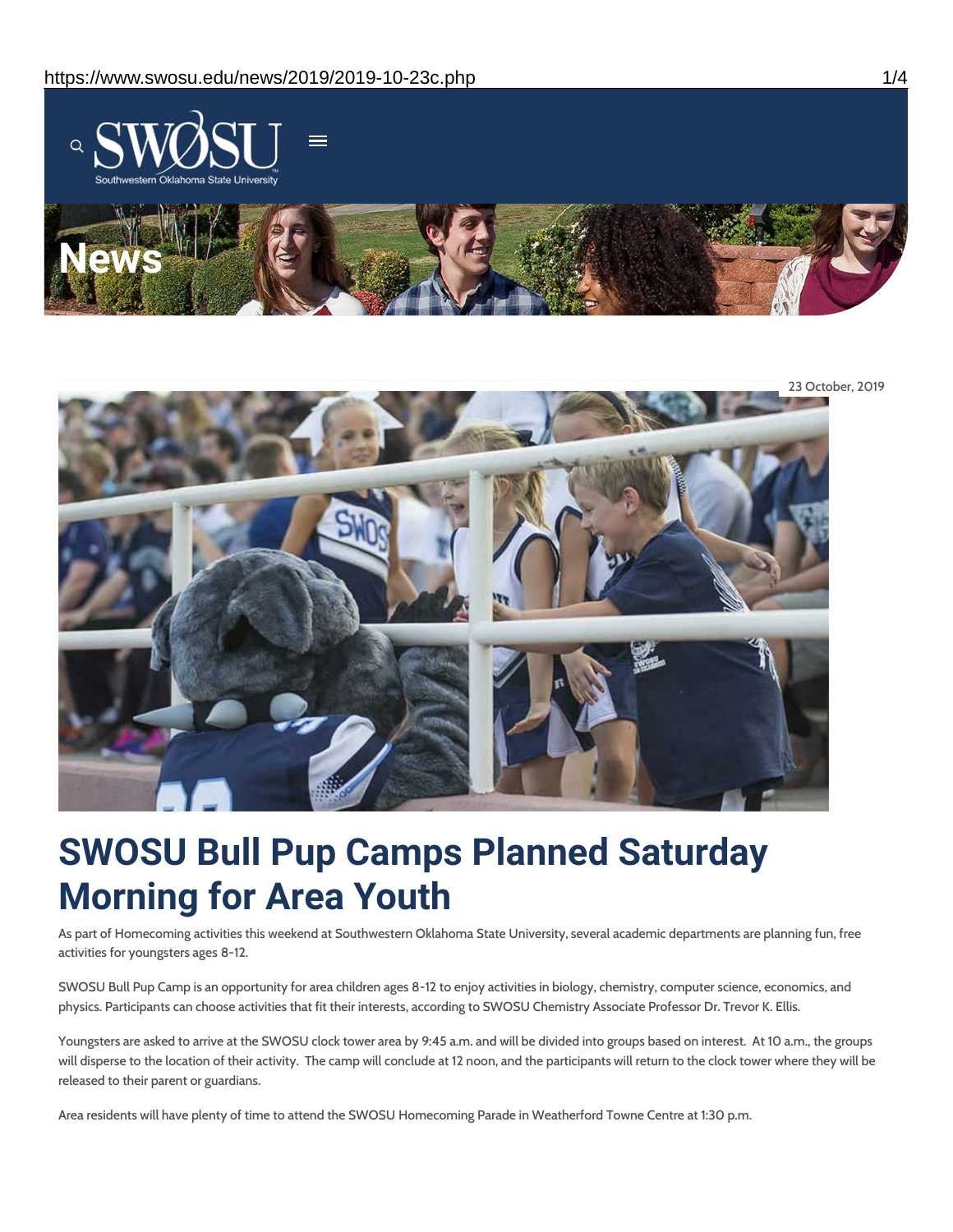



# **SWOSU Bull Pup Camps Planned Saturday Morning for Area Youth**

As part of Homecoming activities this weekend at Southwestern Oklahoma State University, several academic departments are planning fun, free activities for youngsters ages 8-12.

SWOSU Bull Pup Camp is an opportunity for area children ages 8-12 to enjoy activities in biology, chemistry, computer science, economics, and physics. Participants can choose activities that fit their interests, according to SWOSU Chemistry Associate Professor Dr. Trevor K. Ellis.

Youngsters are asked to arrive at the SWOSU clock tower area by 9:45 a.m. and will be divided into groups based on interest. At 10 a.m., the groups will disperse to the location of their activity. The camp will conclude at 12 noon, and the participants will return to the clock tower where they will be released to their parent or guardians.

Area residents will have plenty of time to attend the SWOSU Homecoming Parade in Weatherford Towne Centre at 1:30 p.m.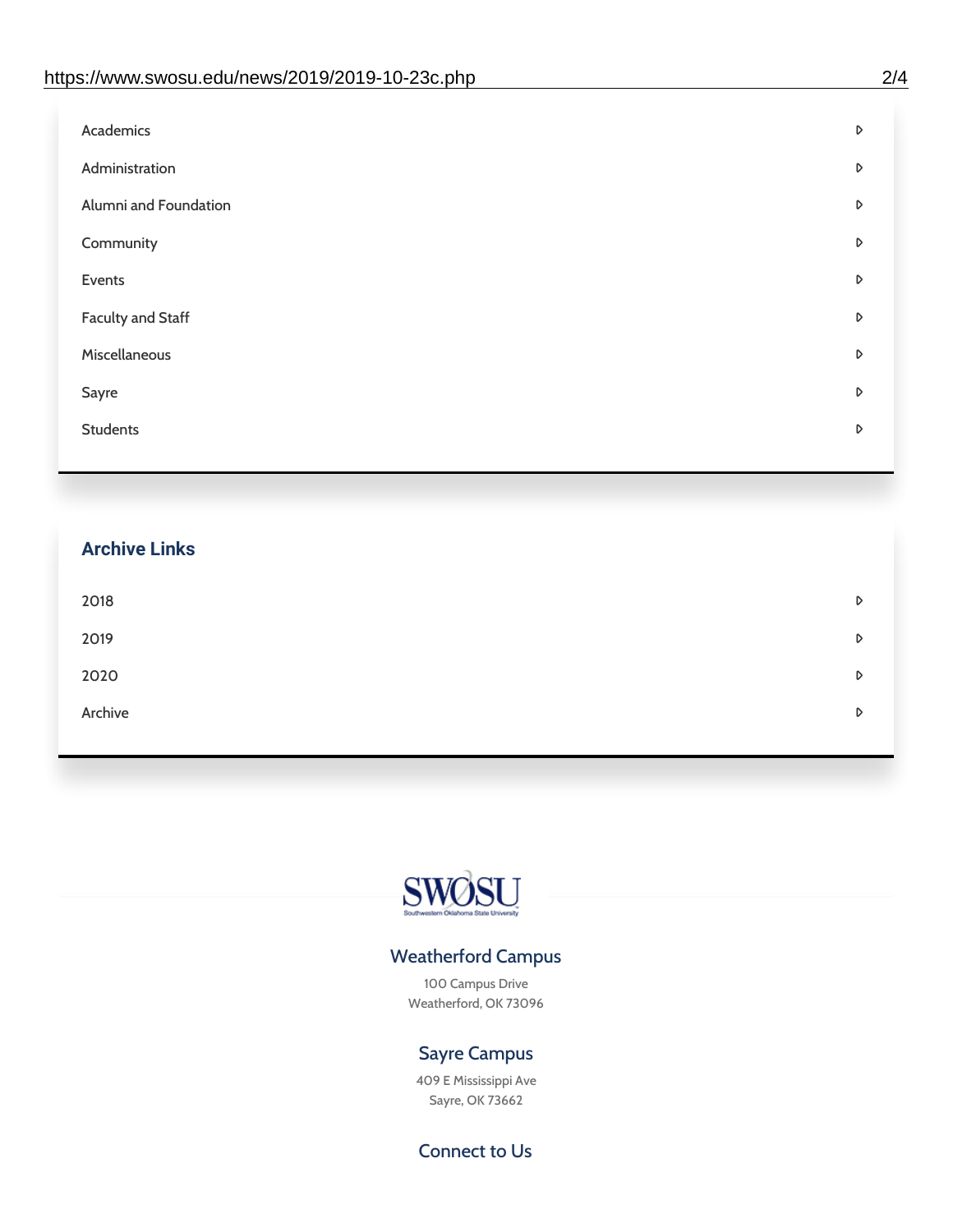| D |
|---|
| D |
| D |
| D |
| D |
| D |
| D |
| D |
| D |
|   |

## **Archive Links**  $2018$  $2019$ [2020](https://www.swosu.edu/news/2020/index.php)  $\bullet$ [Archive](https://dc.swosu.edu/bark/) **Archive Archive Archive Archive Archive** Archive Archive Archive Archive Archive Archive Archive Archive



### Weatherford Campus

100 Campus Drive Weatherford, OK 73096

### Sayre Campus

409 E Mississippi Ave Sayre, OK 73662

Connect to Us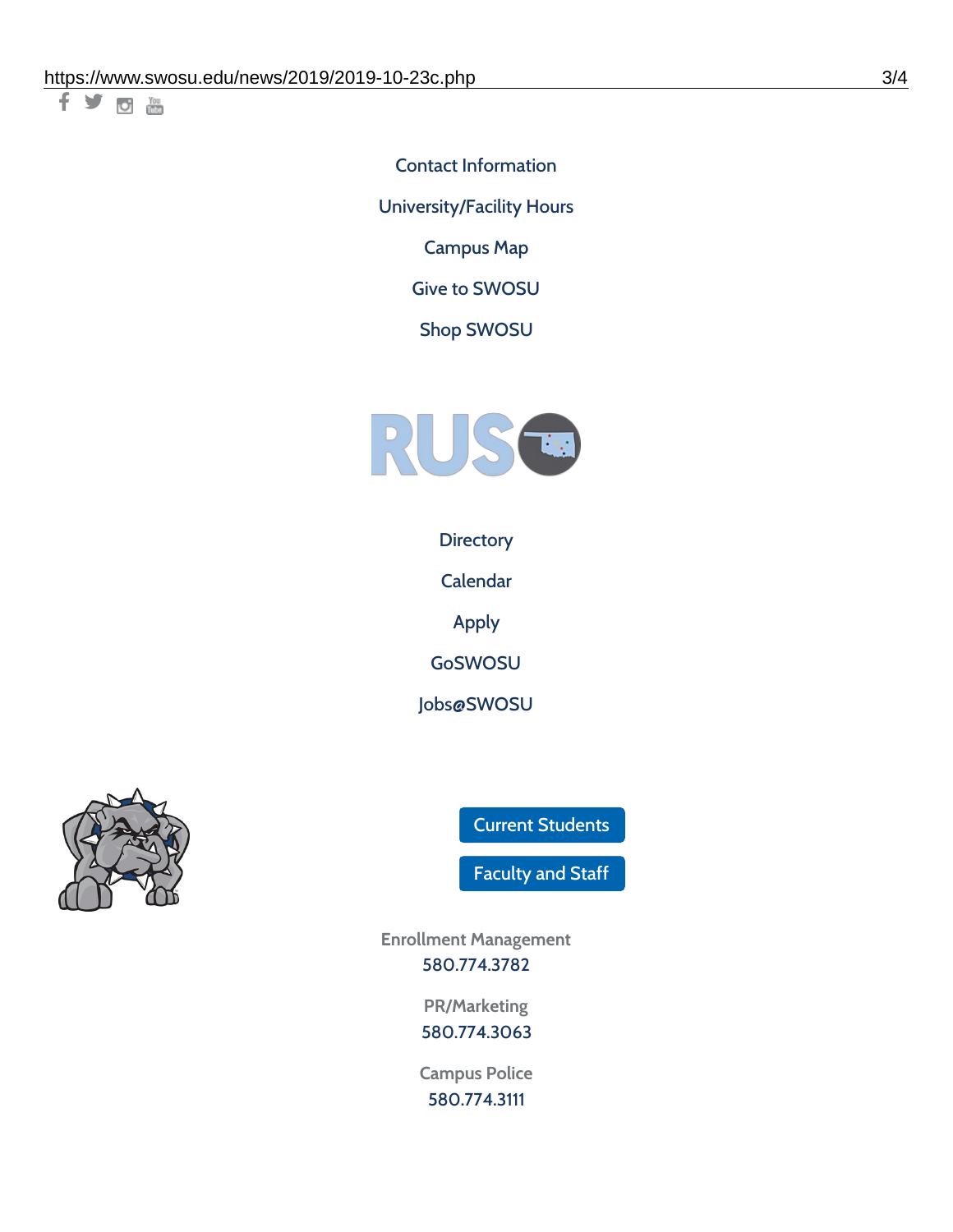千岁回调

Contact [Information](https://www.swosu.edu/about/contact.php) [University/Facility](https://www.swosu.edu/about/operating-hours.php) Hours [Campus](https://map.concept3d.com/?id=768#!ct/10964,10214,10213,10212,10205,10204,10203,10202,10136,10129,10128,0,31226,10130,10201,10641,0) Map

Give to [SWOSU](https://standingfirmly.com/donate)

Shop [SWOSU](https://shopswosu.merchorders.com/)



**[Directory](https://www.swosu.edu/directory/index.php)** 

[Calendar](https://eventpublisher.dudesolutions.com/swosu/)

[Apply](https://www.swosu.edu/admissions/apply-to-swosu.php)

[GoSWOSU](https://qlsso.quicklaunchsso.com/home/1267)

[Jobs@SWOSU](https://swosu.csod.com/ux/ats/careersite/1/home?c=swosu)



Current [Students](https://bulldog.swosu.edu/index.php)

[Faculty](https://bulldog.swosu.edu/faculty-staff/index.php) and Staff

**Enrollment Management** [580.774.3782](tel:5807743782)

> **PR/Marketing** [580.774.3063](tel:5807743063)

**Campus Police** [580.774.3111](tel:5807743111)